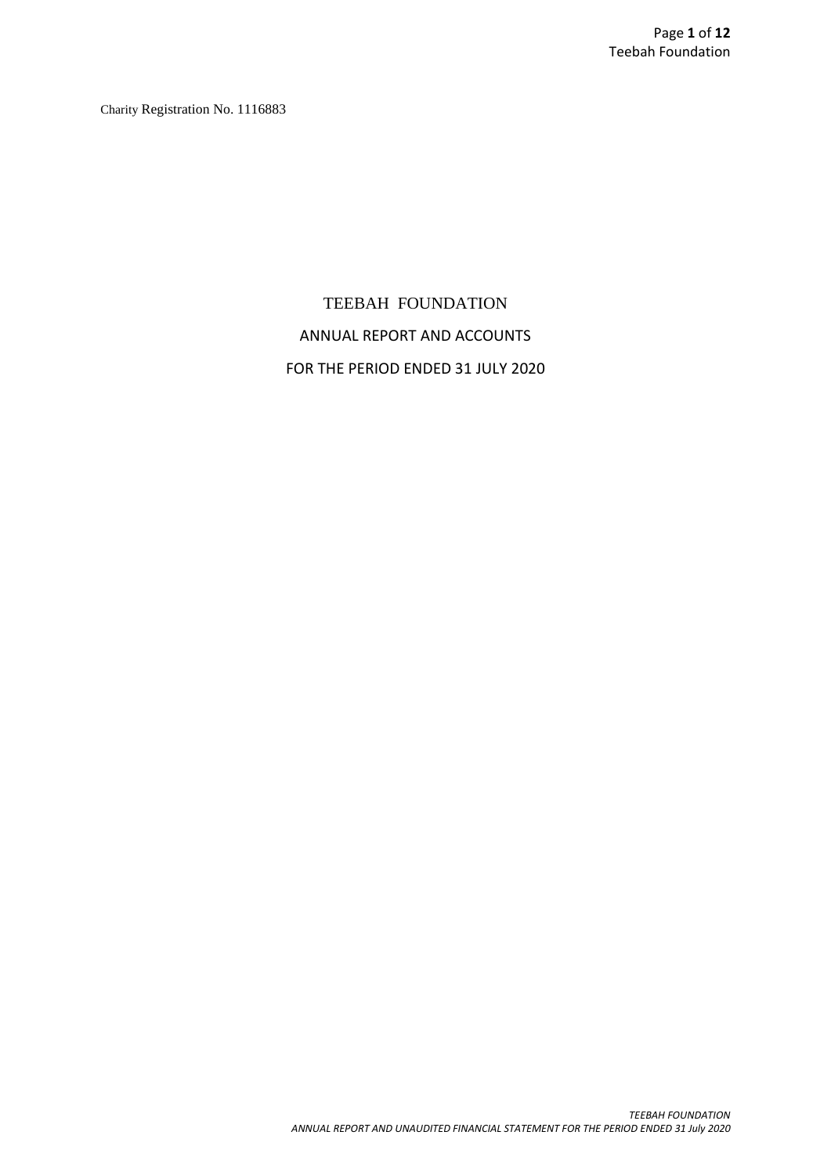Charity Registration No. 1116883

# TEEBAH FOUNDATION ANNUAL REPORT AND ACCOUNTS FOR THE PERIOD ENDED 31 JULY 2020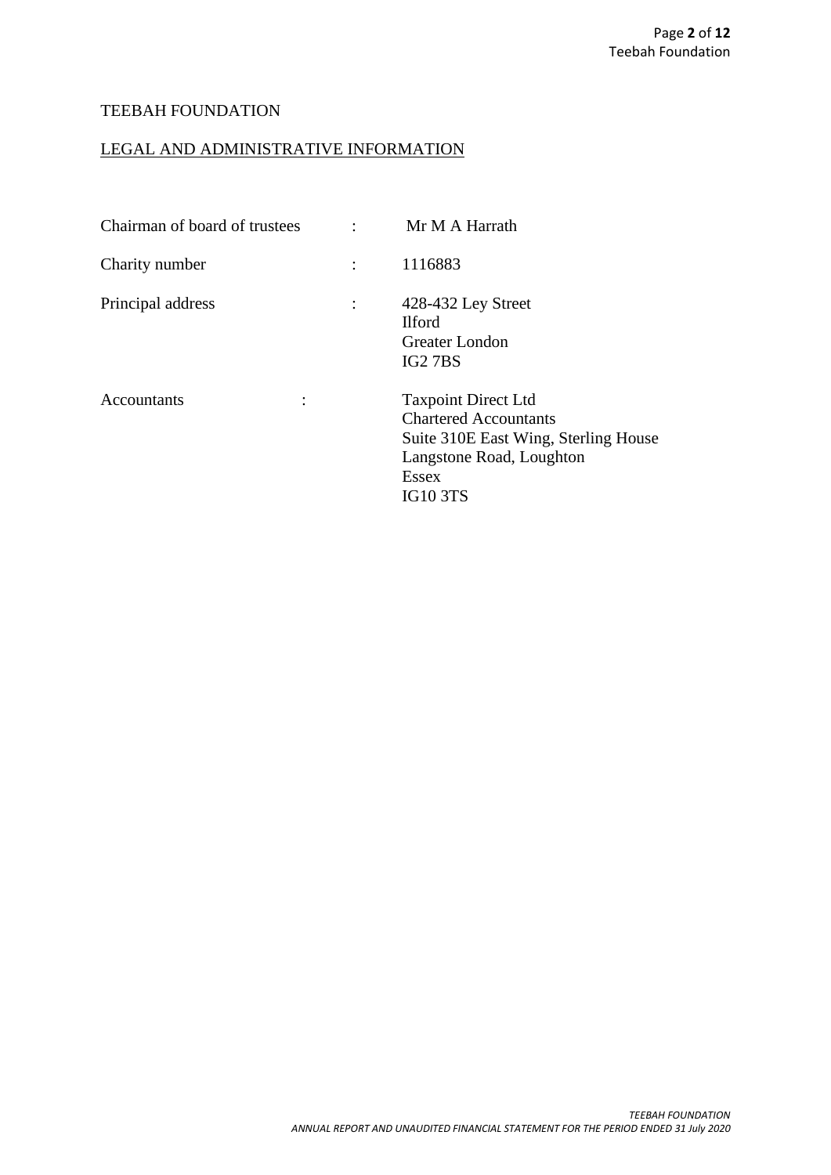## TEEBAH FOUNDATION

## LEGAL AND ADMINISTRATIVE INFORMATION

| Chairman of board of trustees |                | Mr M A Harrath                                                                                                                                                    |
|-------------------------------|----------------|-------------------------------------------------------------------------------------------------------------------------------------------------------------------|
| Charity number                |                | 1116883                                                                                                                                                           |
| Principal address             | $\ddot{\cdot}$ | 428-432 Ley Street<br><b>Ilford</b><br>Greater London<br><b>IG2 7BS</b>                                                                                           |
| Accountants                   |                | <b>Taxpoint Direct Ltd</b><br><b>Chartered Accountants</b><br>Suite 310E East Wing, Sterling House<br>Langstone Road, Loughton<br><b>Essex</b><br><b>IG10 3TS</b> |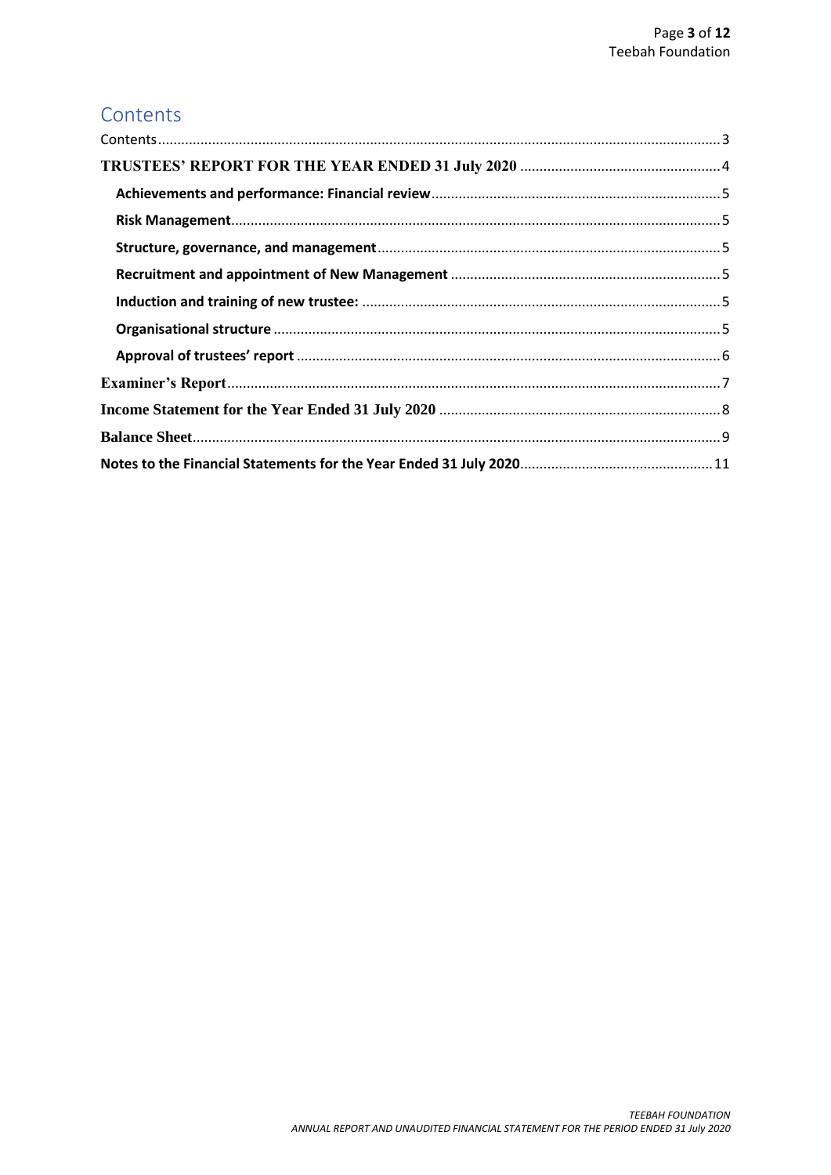## <span id="page-2-0"></span>Contents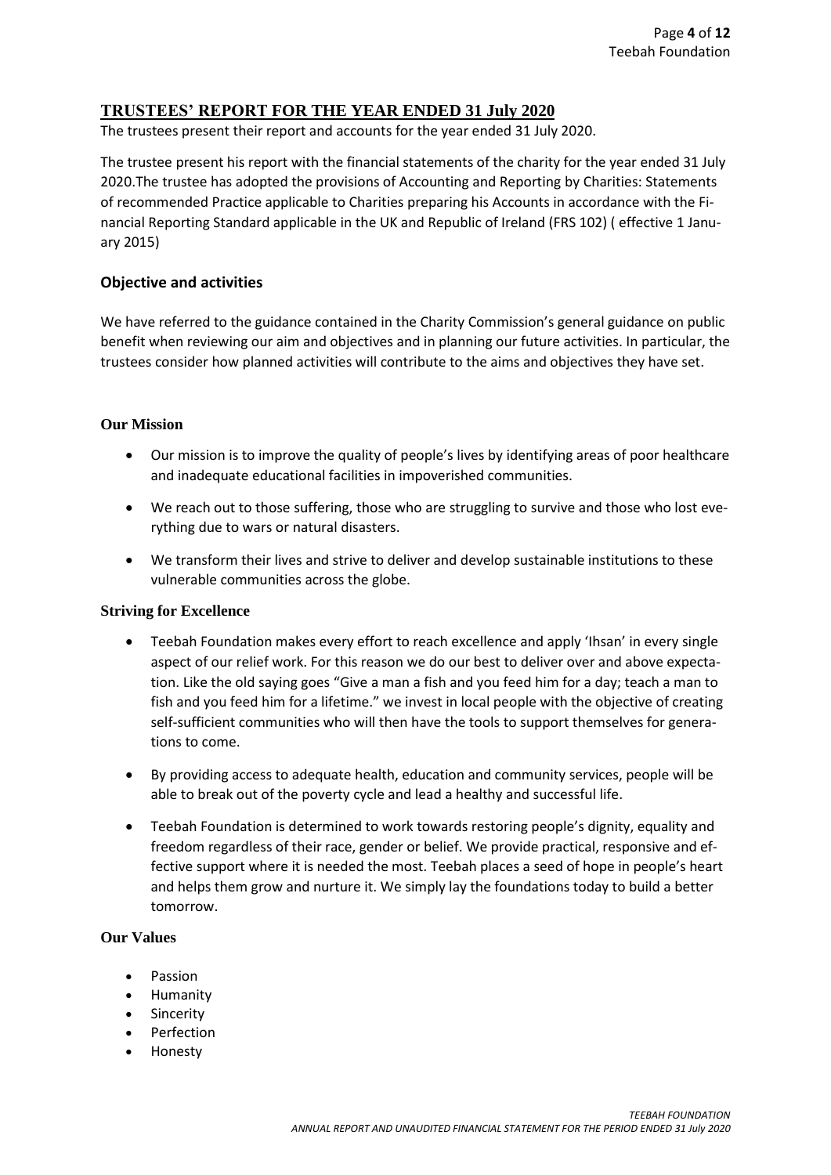## <span id="page-3-0"></span>**TRUSTEES' REPORT FOR THE YEAR ENDED 31 July 2020**

The trustees present their report and accounts for the year ended 31 July 2020.

The trustee present his report with the financial statements of the charity for the year ended 31 July 2020.The trustee has adopted the provisions of Accounting and Reporting by Charities: Statements of recommended Practice applicable to Charities preparing his Accounts in accordance with the Financial Reporting Standard applicable in the UK and Republic of Ireland (FRS 102) ( effective 1 January 2015)

## **Objective and activities**

We have referred to the guidance contained in the Charity Commission's general guidance on public benefit when reviewing our aim and objectives and in planning our future activities. In particular, the trustees consider how planned activities will contribute to the aims and objectives they have set.

## **Our Mission**

- Our mission is to improve the quality of people's lives by identifying areas of poor healthcare and inadequate educational facilities in impoverished communities.
- We reach out to those suffering, those who are struggling to survive and those who lost everything due to wars or natural disasters.
- We transform their lives and strive to deliver and develop sustainable institutions to these vulnerable communities across the globe.

### **Striving for Excellence**

- Teebah Foundation makes every effort to reach excellence and apply 'Ihsan' in every single aspect of our relief work. For this reason we do our best to deliver over and above expectation. Like the old saying goes "Give a man a fish and you feed him for a day; teach a man to fish and you feed him for a lifetime." we invest in local people with the objective of creating self-sufficient communities who will then have the tools to support themselves for generations to come.
- By providing access to adequate health, education and community services, people will be able to break out of the poverty cycle and lead a healthy and successful life.
- Teebah Foundation is determined to work towards restoring people's dignity, equality and freedom regardless of their race, gender or belief. We provide practical, responsive and effective support where it is needed the most. Teebah places a seed of hope in people's heart and helps them grow and nurture it. We simply lay the foundations today to build a better tomorrow.

### **Our Values**

- Passion
- Humanity
- Sincerity
- **Perfection**
- Honesty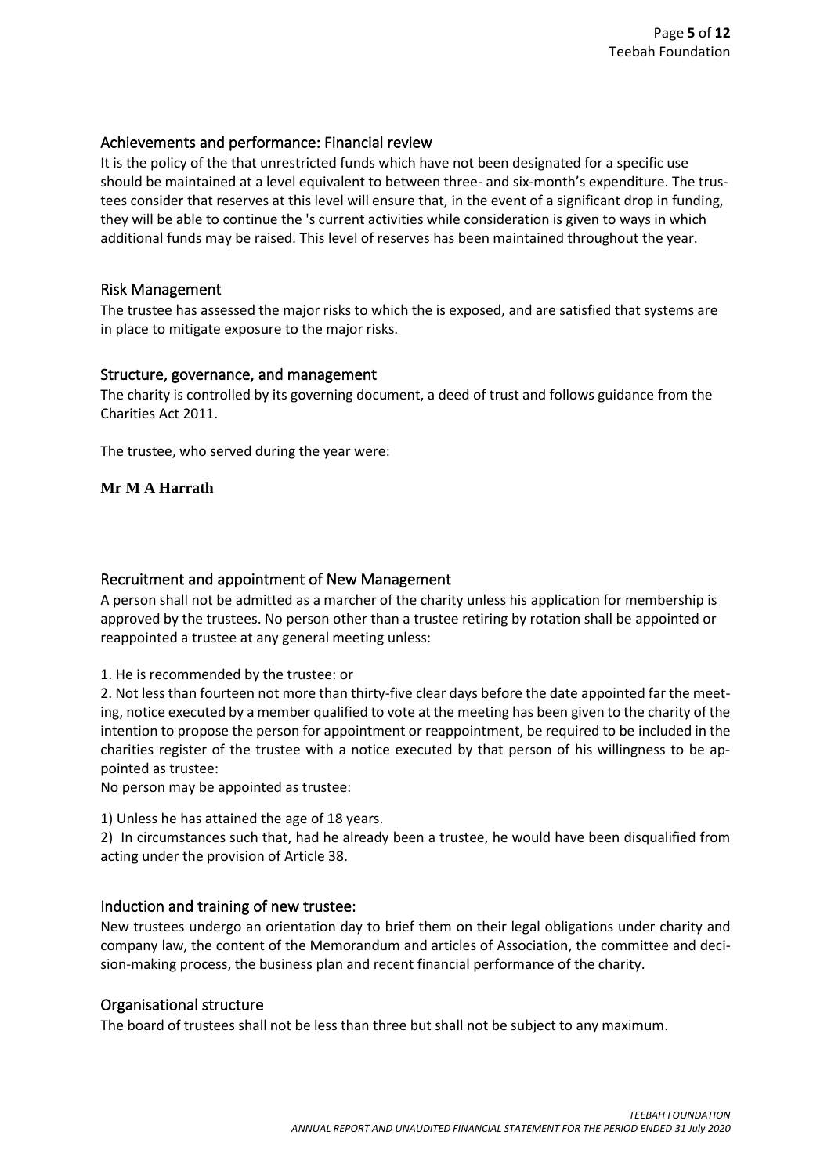## <span id="page-4-0"></span>Achievements and performance: Financial review

It is the policy of the that unrestricted funds which have not been designated for a specific use should be maintained at a level equivalent to between three- and six-month's expenditure. The trustees consider that reserves at this level will ensure that, in the event of a significant drop in funding, they will be able to continue the 's current activities while consideration is given to ways in which additional funds may be raised. This level of reserves has been maintained throughout the year.

### <span id="page-4-1"></span>Risk Management

The trustee has assessed the major risks to which the is exposed, and are satisfied that systems are in place to mitigate exposure to the major risks.

## <span id="page-4-2"></span>Structure, governance, and management

The charity is controlled by its governing document, a deed of trust and follows guidance from the Charities Act 2011.

The trustee, who served during the year were:

## **Mr M A Harrath**

## <span id="page-4-3"></span>Recruitment and appointment of New Management

A person shall not be admitted as a marcher of the charity unless his application for membership is approved by the trustees. No person other than a trustee retiring by rotation shall be appointed or reappointed a trustee at any general meeting unless:

1. He is recommended by the trustee: or

2. Not less than fourteen not more than thirty-five clear days before the date appointed far the meeting, notice executed by a member qualified to vote at the meeting has been given to the charity of the intention to propose the person for appointment or reappointment, be required to be included in the charities register of the trustee with a notice executed by that person of his willingness to be appointed as trustee:

No person may be appointed as trustee:

1) Unless he has attained the age of 18 years.

2) In circumstances such that, had he already been a trustee, he would have been disqualified from acting under the provision of Article 38.

### <span id="page-4-4"></span>Induction and training of new trustee:

New trustees undergo an orientation day to brief them on their legal obligations under charity and company law, the content of the Memorandum and articles of Association, the committee and decision-making process, the business plan and recent financial performance of the charity.

### <span id="page-4-5"></span>Organisational structure

The board of trustees shall not be less than three but shall not be subject to any maximum.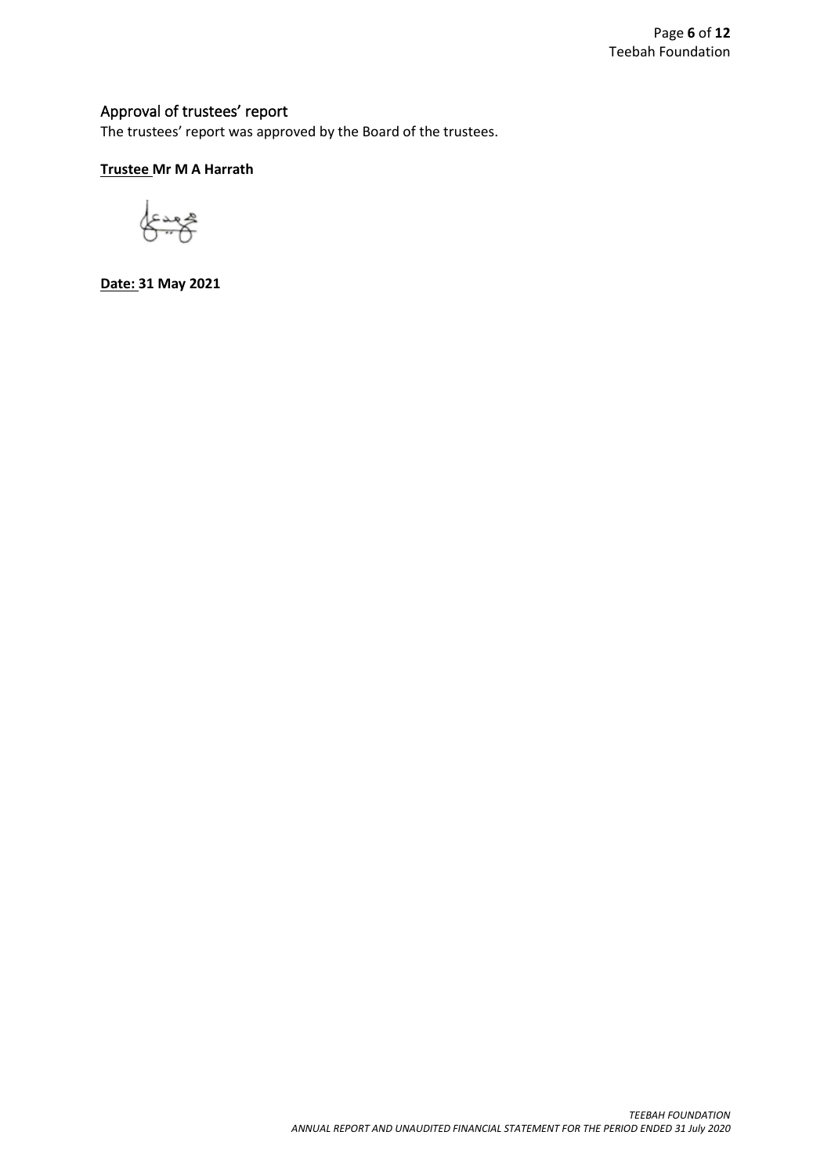## <span id="page-5-0"></span>Approval of trustees' report

The trustees' report was approved by the Board of the trustees.

## **Trustee Mr M A Harrath**

Eage

**Date: 31 May 2021**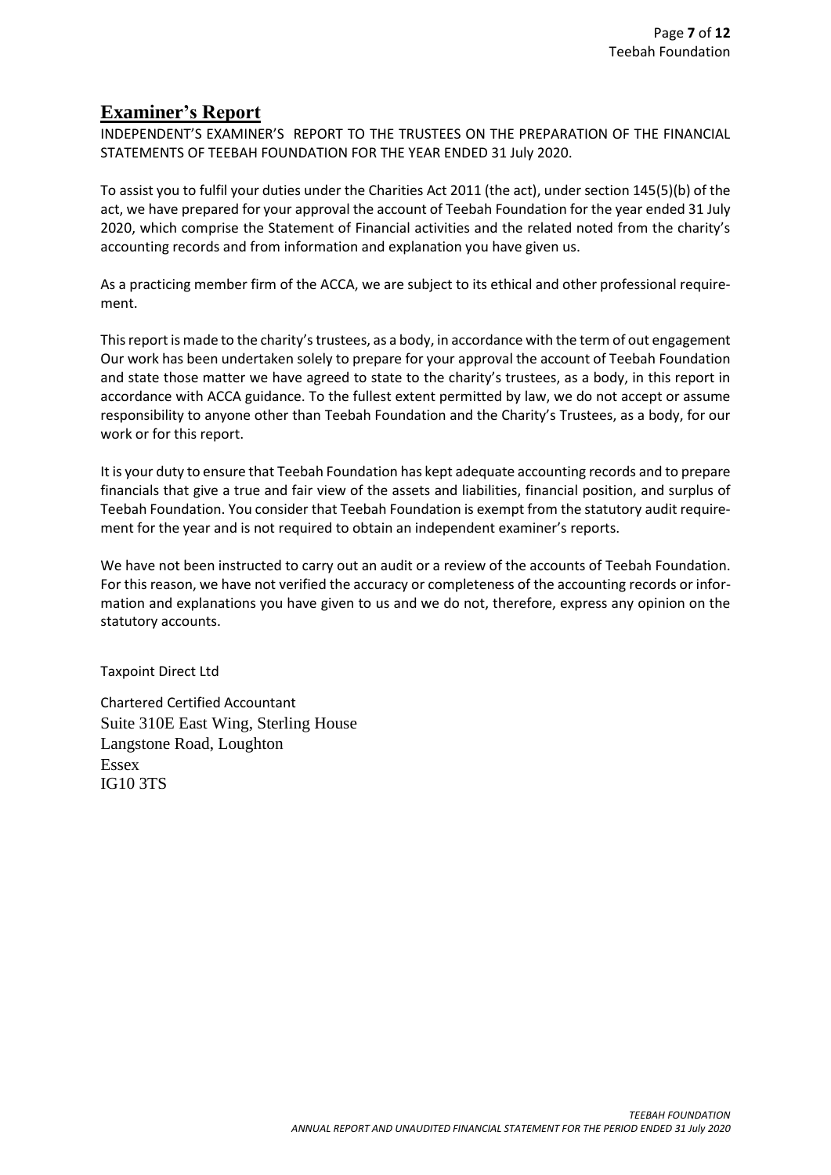## <span id="page-6-0"></span>**Examiner's Report**

INDEPENDENT'S EXAMINER'S REPORT TO THE TRUSTEES ON THE PREPARATION OF THE FINANCIAL STATEMENTS OF TEEBAH FOUNDATION FOR THE YEAR ENDED 31 July 2020.

To assist you to fulfil your duties under the Charities Act 2011 (the act), under section 145(5)(b) of the act, we have prepared for your approval the account of Teebah Foundation for the year ended 31 July 2020, which comprise the Statement of Financial activities and the related noted from the charity's accounting records and from information and explanation you have given us.

As a practicing member firm of the ACCA, we are subject to its ethical and other professional requirement.

This report is made to the charity's trustees, as a body, in accordance with the term of out engagement Our work has been undertaken solely to prepare for your approval the account of Teebah Foundation and state those matter we have agreed to state to the charity's trustees, as a body, in this report in accordance with ACCA guidance. To the fullest extent permitted by law, we do not accept or assume responsibility to anyone other than Teebah Foundation and the Charity's Trustees, as a body, for our work or for this report.

It is your duty to ensure that Teebah Foundation has kept adequate accounting records and to prepare financials that give a true and fair view of the assets and liabilities, financial position, and surplus of Teebah Foundation. You consider that Teebah Foundation is exempt from the statutory audit requirement for the year and is not required to obtain an independent examiner's reports.

We have not been instructed to carry out an audit or a review of the accounts of Teebah Foundation. For this reason, we have not verified the accuracy or completeness of the accounting records or information and explanations you have given to us and we do not, therefore, express any opinion on the statutory accounts.

Taxpoint Direct Ltd

Chartered Certified Accountant Suite 310E East Wing, Sterling House Langstone Road, Loughton Essex IG10 3TS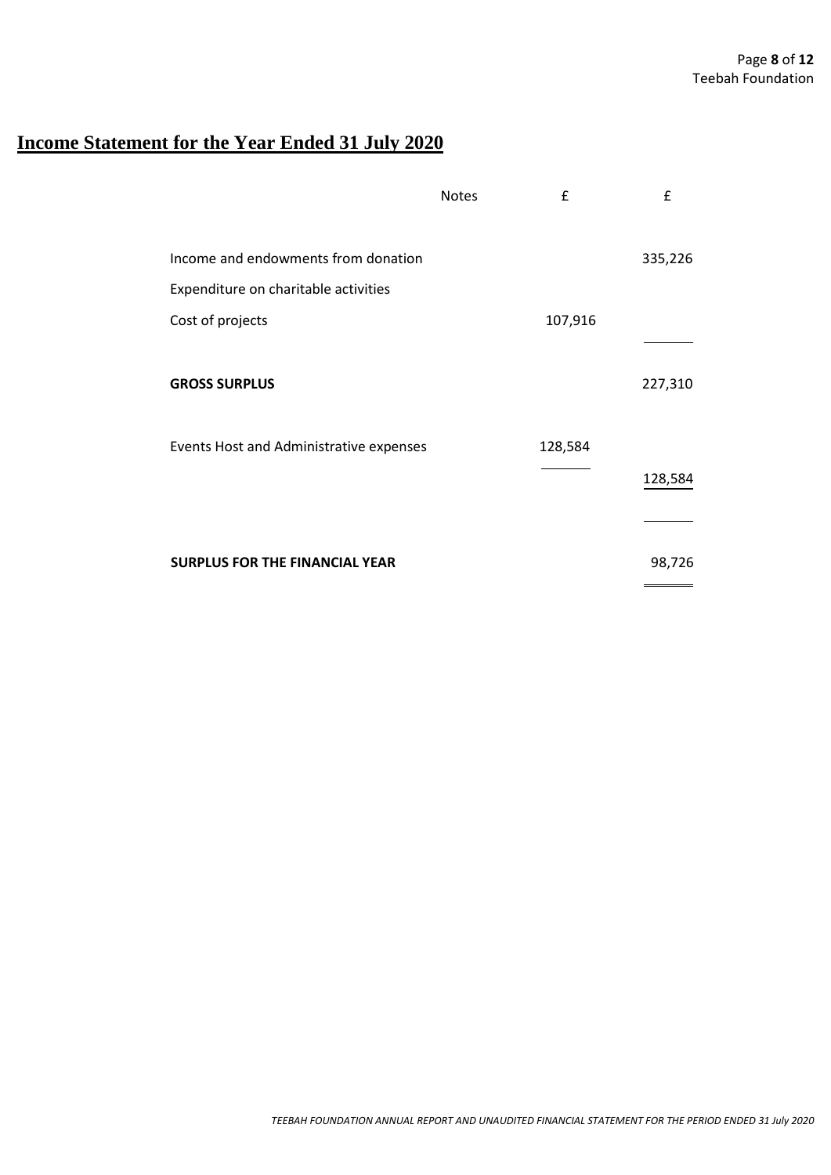## <span id="page-7-0"></span>**Income Statement for the Year Ended 31 July 2020**

|                                                                             | <b>Notes</b> | £       | £       |
|-----------------------------------------------------------------------------|--------------|---------|---------|
| Income and endowments from donation<br>Expenditure on charitable activities |              |         | 335,226 |
| Cost of projects                                                            |              | 107,916 |         |
|                                                                             |              |         |         |
| <b>GROSS SURPLUS</b>                                                        |              |         | 227,310 |
| Events Host and Administrative expenses                                     |              | 128,584 |         |
|                                                                             |              |         | 128,584 |
|                                                                             |              |         |         |
| <b>SURPLUS FOR THE FINANCIAL YEAR</b>                                       |              |         | 98,726  |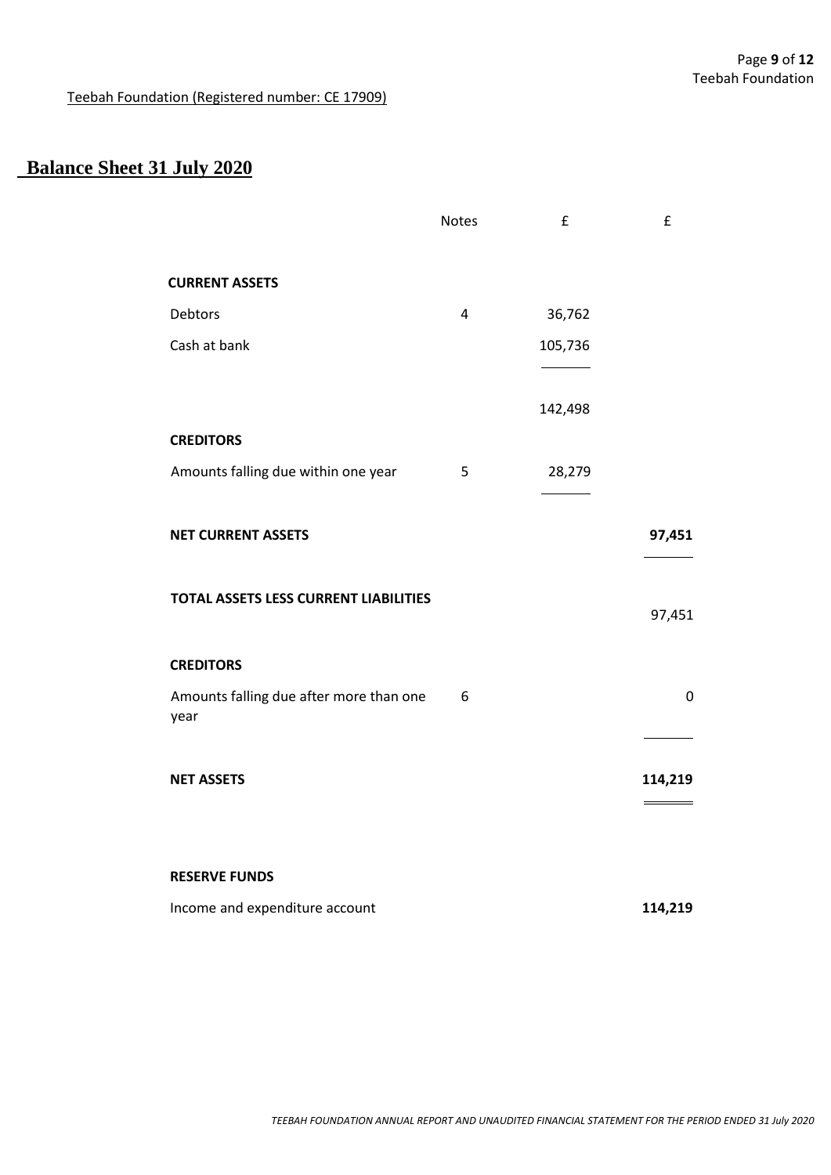Teebah Foundation (Registered number: CE 17909)

## <span id="page-8-0"></span> **Balance Sheet 31 July 2020**

|                                                 | Notes          | £       | £         |
|-------------------------------------------------|----------------|---------|-----------|
| <b>CURRENT ASSETS</b>                           |                |         |           |
| Debtors                                         | $\overline{4}$ | 36,762  |           |
| Cash at bank                                    |                | 105,736 |           |
|                                                 |                | 142,498 |           |
| <b>CREDITORS</b>                                |                |         |           |
| Amounts falling due within one year             | 5              | 28,279  |           |
| <b>NET CURRENT ASSETS</b>                       |                |         | 97,451    |
| TOTAL ASSETS LESS CURRENT LIABILITIES           |                |         | 97,451    |
| <b>CREDITORS</b>                                |                |         |           |
| Amounts falling due after more than one<br>year | 6              |         | $\pmb{0}$ |
| <b>NET ASSETS</b>                               |                |         | 114,219   |
| <b>RESERVE FUNDS</b>                            |                |         |           |
| Income and expenditure account                  |                |         | 114,219   |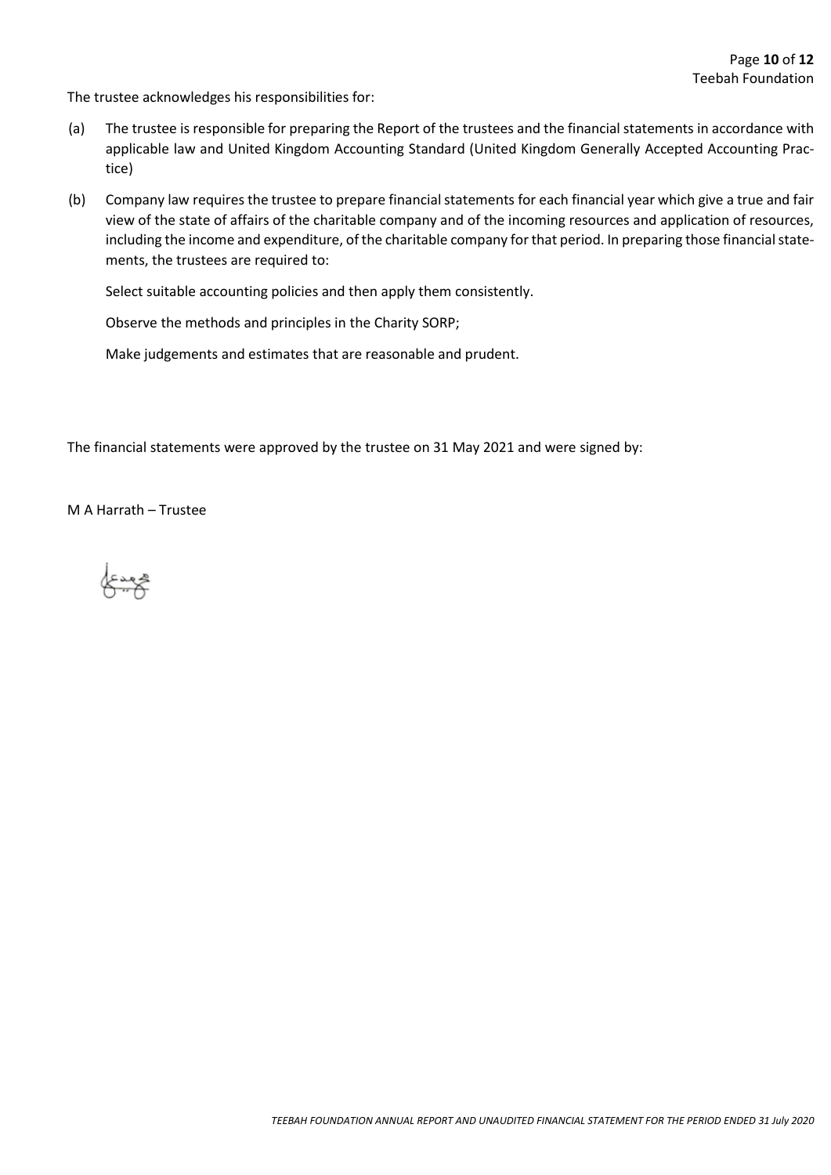The trustee acknowledges his responsibilities for:

- (a) The trustee is responsible for preparing the Report of the trustees and the financial statements in accordance with applicable law and United Kingdom Accounting Standard (United Kingdom Generally Accepted Accounting Practice)
- (b) Company law requires the trustee to prepare financial statements for each financial year which give a true and fair view of the state of affairs of the charitable company and of the incoming resources and application of resources, including the income and expenditure, of the charitable company for that period. In preparing those financial statements, the trustees are required to:

Select suitable accounting policies and then apply them consistently.

Observe the methods and principles in the Charity SORP;

Make judgements and estimates that are reasonable and prudent.

The financial statements were approved by the trustee on 31 May 2021 and were signed by:

M A Harrath – Trustee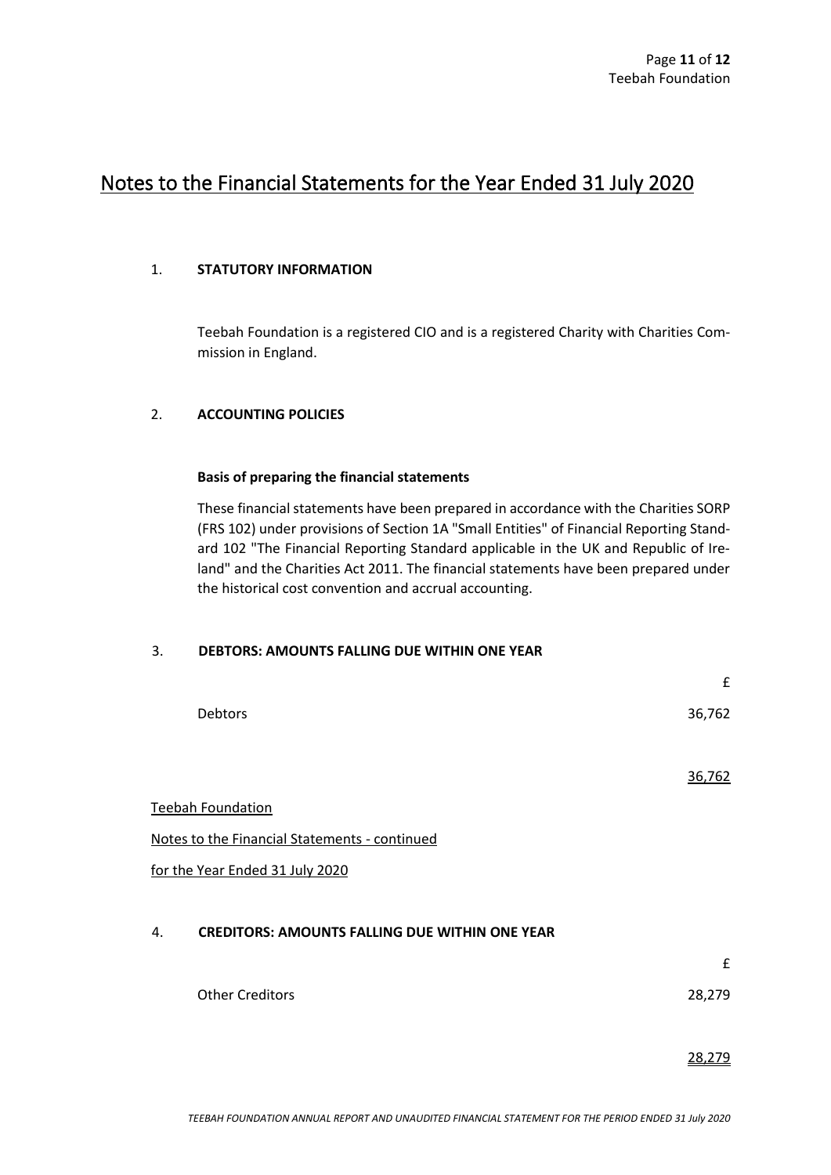## <span id="page-10-0"></span>Notes to the Financial Statements for the Year Ended 31 July 2020

## 1. **STATUTORY INFORMATION**

Teebah Foundation is a registered CIO and is a registered Charity with Charities Commission in England.

## 2. **ACCOUNTING POLICIES**

### **Basis of preparing the financial statements**

These financial statements have been prepared in accordance with the Charities SORP (FRS 102) under provisions of Section 1A "Small Entities" of Financial Reporting Standard 102 "The Financial Reporting Standard applicable in the UK and Republic of Ireland" and the Charities Act 2011. The financial statements have been prepared under the historical cost convention and accrual accounting.

### 3. **DEBTORS: AMOUNTS FALLING DUE WITHIN ONE YEAR**

|    |                                                       | £      |
|----|-------------------------------------------------------|--------|
|    | <b>Debtors</b>                                        | 36,762 |
|    |                                                       |        |
|    |                                                       | 36,762 |
|    | Teebah Foundation                                     |        |
|    | Notes to the Financial Statements - continued         |        |
|    | for the Year Ended 31 July 2020                       |        |
|    |                                                       |        |
| 4. | <b>CREDITORS: AMOUNTS FALLING DUE WITHIN ONE YEAR</b> |        |
|    |                                                       | £      |
|    | <b>Other Creditors</b>                                | 28,279 |
|    |                                                       |        |

#### 28,279